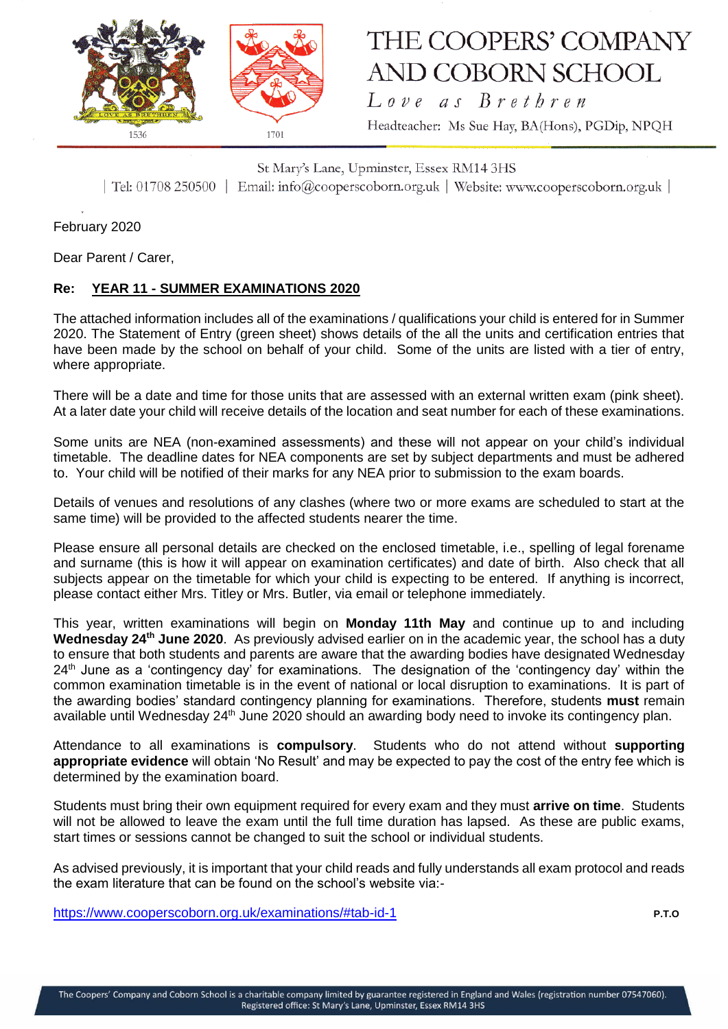

## THE COOPERS' COMPANY **AND COBORN SCHOOL**

Love as Brethren Headteacher: Ms Sue Hay, BA(Hons), PGDip, NPQH

St Mary's Lane, Upminster, Essex RM14 3HS | Tel: 01708 250500 | Email: info@cooperscoborn.org.uk | Website: www.cooperscoborn.org.uk |

February 2020

Dear Parent / Carer,

## **Re: YEAR 11 - SUMMER EXAMINATIONS 2020**

The attached information includes all of the examinations / qualifications your child is entered for in Summer 2020. The Statement of Entry (green sheet) shows details of the all the units and certification entries that have been made by the school on behalf of your child. Some of the units are listed with a tier of entry, where appropriate.

There will be a date and time for those units that are assessed with an external written exam (pink sheet). At a later date your child will receive details of the location and seat number for each of these examinations.

Some units are NEA (non-examined assessments) and these will not appear on your child's individual timetable. The deadline dates for NEA components are set by subject departments and must be adhered to. Your child will be notified of their marks for any NEA prior to submission to the exam boards.

Details of venues and resolutions of any clashes (where two or more exams are scheduled to start at the same time) will be provided to the affected students nearer the time.

Please ensure all personal details are checked on the enclosed timetable, i.e., spelling of legal forename and surname (this is how it will appear on examination certificates) and date of birth. Also check that all subjects appear on the timetable for which your child is expecting to be entered. If anything is incorrect, please contact either Mrs. Titley or Mrs. Butler, via email or telephone immediately.

This year, written examinations will begin on **Monday 11th May** and continue up to and including Wednesday 24<sup>th</sup> June 2020. As previously advised earlier on in the academic year, the school has a duty to ensure that both students and parents are aware that the awarding bodies have designated Wednesday  $24<sup>th</sup>$  June as a 'contingency day' for examinations. The designation of the 'contingency day' within the common examination timetable is in the event of national or local disruption to examinations. It is part of the awarding bodies' standard contingency planning for examinations. Therefore, students **must** remain available until Wednesday 24<sup>th</sup> June 2020 should an awarding body need to invoke its contingency plan.

Attendance to all examinations is **compulsory**. Students who do not attend without **supporting appropriate evidence** will obtain 'No Result' and may be expected to pay the cost of the entry fee which is determined by the examination board.

Students must bring their own equipment required for every exam and they must **arrive on time**. Students will not be allowed to leave the exam until the full time duration has lapsed. As these are public exams, start times or sessions cannot be changed to suit the school or individual students.

As advised previously, it is important that your child reads and fully understands all exam protocol and reads the exam literature that can be found on the school's website via:-

<https://www.cooperscoborn.org.uk/examinations/#tab-id-1> **P.T.O**